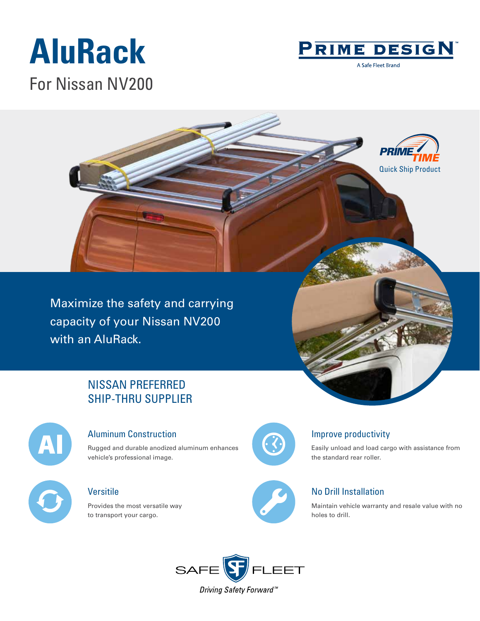## **AluRack** For Nissan NV200



A Safe Fleet Brand



Maximize the safety and carrying capacity of your Nissan NV200 with an AluRack.

### NISSAN PREFERRED SHIP-THRU SUPPLIER



#### Aluminum Construction

Rugged and durable anodized aluminum enhances vehicle's professional image.

### Versitile

Provides the most versatile way to transport your cargo.



#### Improve productivity

Easily unload and load cargo with assistance from the standard rear roller.

#### No Drill Installation

Maintain vehicle warranty and resale value with no holes to drill.